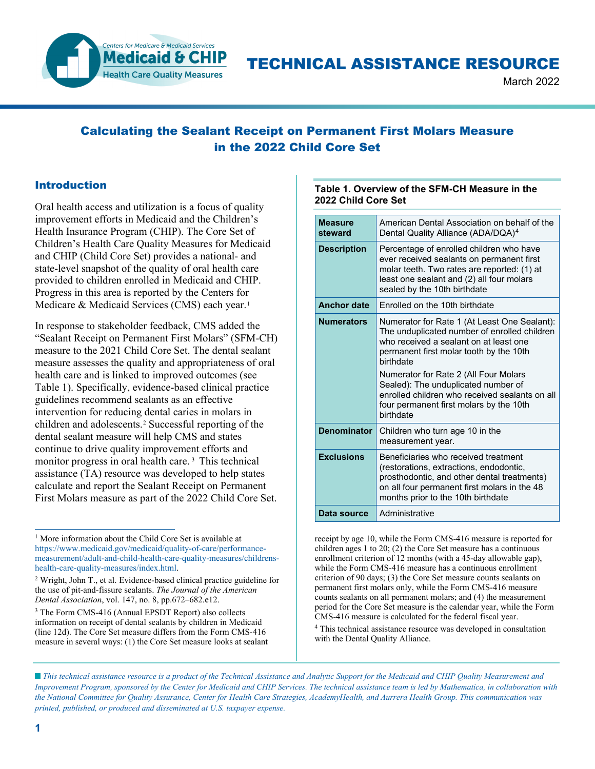

# TECHNICAL ASSISTANCE RESOURCE

March 2022

## Calculating the Sealant Receipt on Permanent First Molars Measure in the 2022 Child Core Set

## Introduction

Oral health access and utilization is a focus of quality improvement efforts in Medicaid and the Children's Health Insurance Program (CHIP). The Core Set of Children's Health Care Quality Measures for Medicaid and CHIP (Child Core Set) provides a national- and state-level snapshot of the quality of oral health care provided to children enrolled in Medicaid and CHIP. Progress in this area is reported by the Centers for Medicare & Medicaid Services (CMS) each year.<sup>[1](#page-0-0)</sup>

In response to stakeholder feedback, CMS added the "Sealant Receipt on Permanent First Molars" (SFM-CH) measure to the 2021 Child Core Set. The dental sealant measure assesses the quality and appropriateness of oral health care and is linked to improved outcomes (see Table 1). Specifically, evidence-based clinical practice guidelines recommend sealants as an effective intervention for reducing dental caries in molars in children and adolescents.[2](#page-0-1) Successful reporting of the dental sealant measure will help CMS and states continue to drive quality improvement efforts and monitor progress in oral health care.<sup>[3](#page-0-2)</sup> This technical assistance (TA) resource was developed to help states calculate and report the Sealant Receipt on Permanent First Molars measure as part of the 2022 Child Core Set.

#### **Table 1. Overview of the SFM-CH Measure in the 2022 Child Core Set**

| <b>Measure</b><br>steward | American Dental Association on behalf of the<br>Dental Quality Alliance (ADA/DQA) <sup>4</sup>                                                                                                                       |
|---------------------------|----------------------------------------------------------------------------------------------------------------------------------------------------------------------------------------------------------------------|
| <b>Description</b>        | Percentage of enrolled children who have<br>ever received sealants on permanent first<br>molar teeth. Two rates are reported: (1) at<br>least one sealant and (2) all four molars<br>sealed by the 10th birthdate    |
| <b>Anchor date</b>        | Fnrolled on the 10th birthdate                                                                                                                                                                                       |
| <b>Numerators</b>         | Numerator for Rate 1 (At Least One Sealant):<br>The unduplicated number of enrolled children<br>who received a sealant on at least one<br>permanent first molar tooth by the 10th<br>hirthdate                       |
|                           | Numerator for Rate 2 (All Four Molars<br>Sealed): The unduplicated number of<br>enrolled children who received sealants on all<br>four permanent first molars by the 10th<br>birthdate                               |
| <b>Denominator</b>        | Children who turn age 10 in the<br>measurement year.                                                                                                                                                                 |
| <b>Exclusions</b>         | Beneficiaries who received treatment<br>(restorations, extractions, endodontic,<br>prosthodontic, and other dental treatments)<br>on all four permanent first molars in the 48<br>months prior to the 10th birthdate |
| Data source               | Administrative                                                                                                                                                                                                       |

receipt by age 10, while the Form CMS-416 measure is reported for children ages 1 to 20; (2) the Core Set measure has a continuous enrollment criterion of 12 months (with a 45-day allowable gap), while the Form CMS-416 measure has a continuous enrollment criterion of 90 days; (3) the Core Set measure counts sealants on permanent first molars only, while the Form CMS-416 measure counts sealants on all permanent molars; and (4) the measurement period for the Core Set measure is the calendar year, while the Form CMS-416 measure is calculated for the federal fiscal year.

<sup>4</sup> This technical assistance resource was developed in consultation with the Dental Quality Alliance.

 *This technical assistance resource is a product of the Technical Assistance and Analytic Support for the Medicaid and CHIP Quality Measurement and Improvement Program, sponsored by the Center for Medicaid and CHIP Services. The technical assistance team is led by Mathematica, in collaboration with the National Committee for Quality Assurance, Center for Health Care Strategies, AcademyHealth, and Aurrera Health Group. This communication was printed, published, or produced and disseminated at U.S. taxpayer expense.*

<span id="page-0-0"></span><sup>&</sup>lt;sup>1</sup> More information about the Child Core Set is available at [https://www.medicaid.gov/medicaid/quality-of-care/performance](https://www.medicaid.gov/medicaid/quality-of-care/performance-measurement/adult-and-child-health-care-quality-measures/childrens-health-care-quality-measures/index.html)[measurement/adult-and-child-health-care-quality-measures/childrens](https://www.medicaid.gov/medicaid/quality-of-care/performance-measurement/adult-and-child-health-care-quality-measures/childrens-health-care-quality-measures/index.html)[health-care-quality-measures/index.html.](https://www.medicaid.gov/medicaid/quality-of-care/performance-measurement/adult-and-child-health-care-quality-measures/childrens-health-care-quality-measures/index.html) 

<span id="page-0-1"></span><sup>2</sup> Wright, John T., et al. Evidence-based clinical practice guideline for the use of pit-and-fissure sealants. *The Journal of the American Dental Association*, vol. 147, no. 8, pp.672–682.e12.

<span id="page-0-3"></span><span id="page-0-2"></span><sup>3</sup> The Form CMS-416 (Annual EPSDT Report) also collects information on receipt of dental sealants by children in Medicaid (line 12d). The Core Set measure differs from the Form CMS-416 measure in several ways: (1) the Core Set measure looks at sealant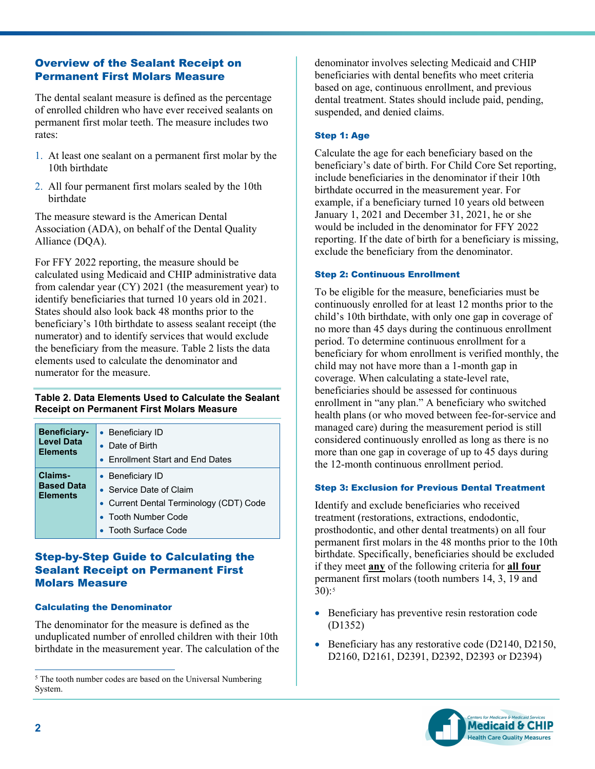## Overview of the Sealant Receipt on Permanent First Molars Measure

The dental sealant measure is defined as the percentage of enrolled children who have ever received sealants on permanent first molar teeth. The measure includes two rates:

- 1. At least one sealant on a permanent first molar by the 10th birthdate
- 2. All four permanent first molars sealed by the 10th birthdate

The measure steward is the American Dental Association (ADA), on behalf of the Dental Quality Alliance (DQA).

For FFY 2022 reporting, the measure should be calculated using Medicaid and CHIP administrative data from calendar year (CY) 2021 (the measurement year) to identify beneficiaries that turned 10 years old in 2021. States should also look back 48 months prior to the beneficiary's 10th birthdate to assess sealant receipt (the numerator) and to identify services that would exclude the beneficiary from the measure. Table 2 lists the data elements used to calculate the denominator and numerator for the measure.

## **Table 2. Data Elements Used to Calculate the Sealant Receipt on Permanent First Molars Measure**

| <b>Beneficiary-</b>                             | • Beneficiary ID                                                                                                                           |
|-------------------------------------------------|--------------------------------------------------------------------------------------------------------------------------------------------|
| <b>Level Data</b>                               | • Date of Birth                                                                                                                            |
| <b>Elements</b>                                 | • Enrollment Start and End Dates                                                                                                           |
| Claims-<br><b>Based Data</b><br><b>Elements</b> | • Beneficiary ID<br>• Service Date of Claim<br>• Current Dental Terminology (CDT) Code<br>• Tooth Number Code<br><b>Tooth Surface Code</b> |

## Step-by-Step Guide to Calculating the Sealant Receipt on Permanent First Molars Measure

#### Calculating the Denominator

The denominator for the measure is defined as the unduplicated number of enrolled children with their 10th birthdate in the measurement year. The calculation of the denominator involves selecting Medicaid and CHIP beneficiaries with dental benefits who meet criteria based on age, continuous enrollment, and previous dental treatment. States should include paid, pending, suspended, and denied claims.

#### Step 1: Age

Calculate the age for each beneficiary based on the beneficiary's date of birth. For Child Core Set reporting, include beneficiaries in the denominator if their 10th birthdate occurred in the measurement year. For example, if a beneficiary turned 10 years old between January 1, 2021 and December 31, 2021, he or she would be included in the denominator for FFY 2022 reporting. If the date of birth for a beneficiary is missing, exclude the beneficiary from the denominator.

#### Step 2: Continuous Enrollment

To be eligible for the measure, beneficiaries must be continuously enrolled for at least 12 months prior to the child's 10th birthdate, with only one gap in coverage of no more than 45 days during the continuous enrollment period. To determine continuous enrollment for a beneficiary for whom enrollment is verified monthly, the child may not have more than a 1-month gap in coverage. When calculating a state-level rate, beneficiaries should be assessed for continuous enrollment in "any plan." A beneficiary who switched health plans (or who moved between fee-for-service and managed care) during the measurement period is still considered continuously enrolled as long as there is no more than one gap in coverage of up to 45 days during the 12-month continuous enrollment period.

#### Step 3: Exclusion for Previous Dental Treatment

Identify and exclude beneficiaries who received treatment (restorations, extractions, endodontic, prosthodontic, and other dental treatments) on all four permanent first molars in the 48 months prior to the 10th birthdate. Specifically, beneficiaries should be excluded if they meet **any** of the following criteria for **all four** permanent first molars (tooth numbers 14, 3, 19 and  $30):$ <sup>[5](#page-1-0)</sup>

- Beneficiary has preventive resin restoration code (D1352)
- Beneficiary has any restorative code (D2140, D2150, D2160, D2161, D2391, D2392, D2393 or D2394)



<span id="page-1-0"></span><sup>&</sup>lt;sup>5</sup> The tooth number codes are based on the Universal Numbering System.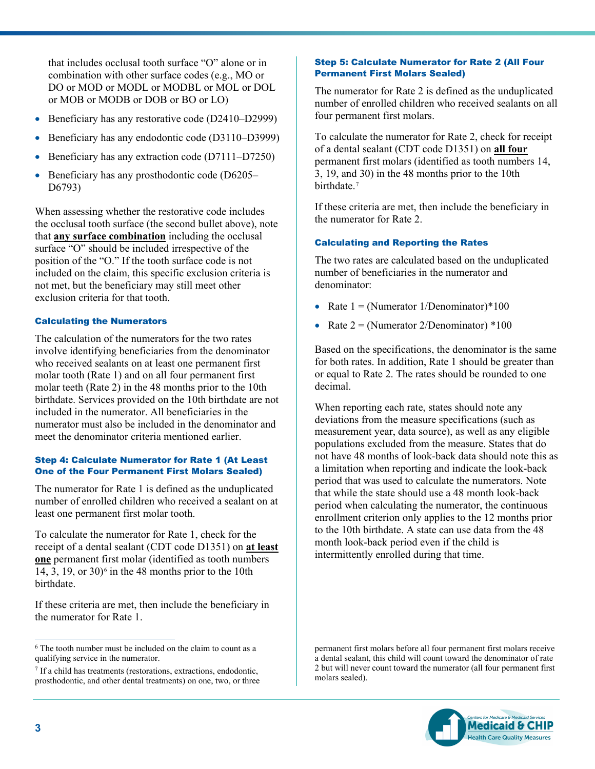that includes occlusal tooth surface "O" alone or in combination with other surface codes (e.g., MO or DO or MOD or MODL or MODBL or MOL or DOL or MOB or MODB or DOB or BO or LO)

- Beneficiary has any restorative code (D2410–D2999)
- Beneficiary has any endodontic code (D3110–D3999)
- Beneficiary has any extraction code (D7111–D7250)
- Beneficiary has any prosthodontic code (D6205– D6793)

When assessing whether the restorative code includes the occlusal tooth surface (the second bullet above), note that **any surface combination** including the occlusal surface "O" should be included irrespective of the position of the "O." If the tooth surface code is not included on the claim, this specific exclusion criteria is not met, but the beneficiary may still meet other exclusion criteria for that tooth.

#### Calculating the Numerators

The calculation of the numerators for the two rates involve identifying beneficiaries from the denominator who received sealants on at least one permanent first molar tooth (Rate 1) and on all four permanent first molar teeth (Rate 2) in the 48 months prior to the 10th birthdate. Services provided on the 10th birthdate are not included in the numerator. All beneficiaries in the numerator must also be included in the denominator and meet the denominator criteria mentioned earlier.

#### Step 4: Calculate Numerator for Rate 1 (At Least One of the Four Permanent First Molars Sealed)

The numerator for Rate 1 is defined as the unduplicated number of enrolled children who received a sealant on at least one permanent first molar tooth.

To calculate the numerator for Rate 1, check for the receipt of a dental sealant (CDT code D1351) on **at least one** permanent first molar (identified as tooth numbers 14, 3, 19, or  $30$ <sup>[6](#page-2-0)</sup> in the 48 months prior to the 10th birthdate.

If these criteria are met, then include the beneficiary in the numerator for Rate 1.

#### Step 5: Calculate Numerator for Rate 2 (All Four Permanent First Molars Sealed)

The numerator for Rate 2 is defined as the unduplicated number of enrolled children who received sealants on all four permanent first molars.

To calculate the numerator for Rate 2, check for receipt of a dental sealant (CDT code D1351) on **all four** permanent first molars (identified as tooth numbers 14, 3, 19, and 30) in the 48 months prior to the 10th birthdate.[7](#page-2-1)

If these criteria are met, then include the beneficiary in the numerator for Rate 2.

## Calculating and Reporting the Rates

The two rates are calculated based on the unduplicated number of beneficiaries in the numerator and denominator:

- Rate  $1 = (Numerator 1/Denominator)*100$
- Rate  $2 = (N$ umerator 2/Denominator) \*100

Based on the specifications, the denominator is the same for both rates. In addition, Rate 1 should be greater than or equal to Rate 2. The rates should be rounded to one decimal.

When reporting each rate, states should note any deviations from the measure specifications (such as measurement year, data source), as well as any eligible populations excluded from the measure. States that do not have 48 months of look-back data should note this as a limitation when reporting and indicate the look-back period that was used to calculate the numerators. Note that while the state should use a 48 month look-back period when calculating the numerator, the continuous enrollment criterion only applies to the 12 months prior to the 10th birthdate. A state can use data from the 48 month look-back period even if the child is intermittently enrolled during that time.

permanent first molars before all four permanent first molars receive a dental sealant, this child will count toward the denominator of rate 2 but will never count toward the numerator (all four permanent first molars sealed).



<span id="page-2-0"></span><sup>&</sup>lt;sup>6</sup> The tooth number must be included on the claim to count as a qualifying service in the numerator.

<span id="page-2-1"></span><sup>7</sup> If a child has treatments (restorations, extractions, endodontic, prosthodontic, and other dental treatments) on one, two, or three